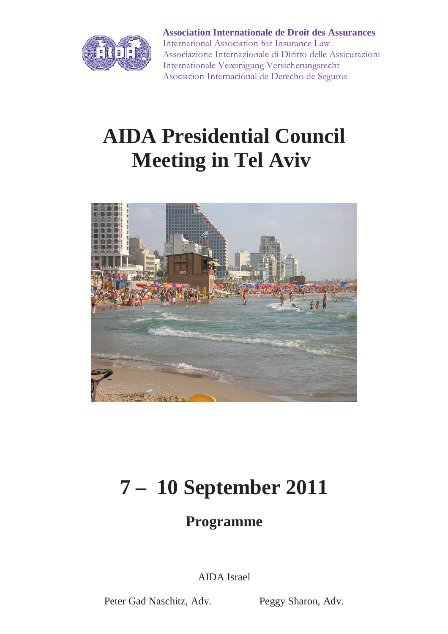

**Association Internationale de Droit des Assurances**  International Association for Insurance Law Associazione Internazionale di Diritto delle Assicurazioni Internationale Vereinigung Versicherungsrecht Asociacion Internacional de Derecho de Seguros

# **AIDA Presidential Council Meeting in Tel Aviv**



# **7 – 10 September 2011**

# **Programme**

AIDA Israel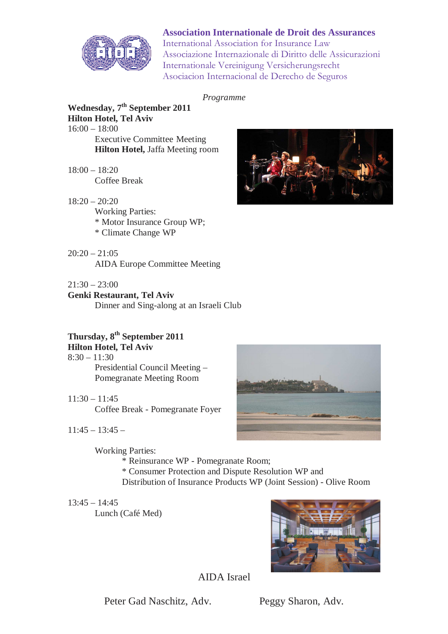

**Association Internationale de Droit des Assurances** 

International Association for Insurance Law Associazione Internazionale di Diritto delle Assicurazioni Internationale Vereinigung Versicherungsrecht Asociacion Internacional de Derecho de Seguros

#### *Programme*

**Wednesday, 7th September 2011 Hilton Hotel, Tel Aviv**   $16:00 - 18:00$ 

> Executive Committee Meeting **Hilton Hotel,** Jaffa Meeting room

- 18:00 18:20 Coffee Break
- $18:20 20:20$  Working Parties: \* Motor Insurance Group WP; \* Climate Change WP
- $20:20 21:05$ AIDA Europe Committee Meeting
- $21:30 23:00$

**Genki Restaurant, Tel Aviv**  Dinner and Sing-along at an Israeli Club

### **Thursday, 8th September 2011 Hilton Hotel, Tel Aviv**

- $8:30 11:30$  Presidential Council Meeting – Pomegranate Meeting Room
- 11:30 11:45 Coffee Break - Pomegranate Foyer
- $11:45 13:45 -$

Working Parties:

\* Reinsurance WP - Pomegranate Room;

 \* Consumer Protection and Dispute Resolution WP and Distribution of Insurance Products WP (Joint Session) - Olive Room

 $13:45 - 14:45$ 

Lunch (Café Med)



AIDA Israel



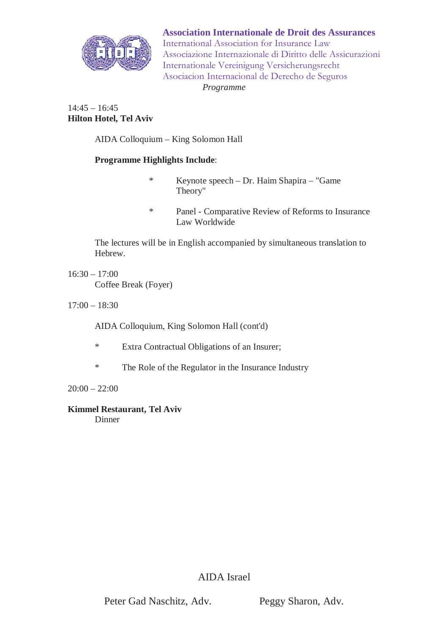

**Association Internationale de Droit des Assurances**  International Association for Insurance Law Associazione Internazionale di Diritto delle Assicurazioni Internationale Vereinigung Versicherungsrecht Asociacion Internacional de Derecho de Seguros *Programme* 

#### 14:45 – 16:45 **Hilton Hotel, Tel Aviv**

AIDA Colloquium – King Solomon Hall

#### **Programme Highlights Include**:

- \* Keynote speech Dr. Haim Shapira "Game Theory"
- \* Panel Comparative Review of Reforms to Insurance Law Worldwide

 The lectures will be in English accompanied by simultaneous translation to Hebrew.

#### $16:30 - 17:00$ Coffee Break (Foyer)

17:00 – 18:30

AIDA Colloquium, King Solomon Hall (cont'd)

- \* Extra Contractual Obligations of an Insurer;
- \* The Role of the Regulator in the Insurance Industry

 $20:00 - 22:00$ 

**Kimmel Restaurant, Tel Aviv** 

Dinner

AIDA Israel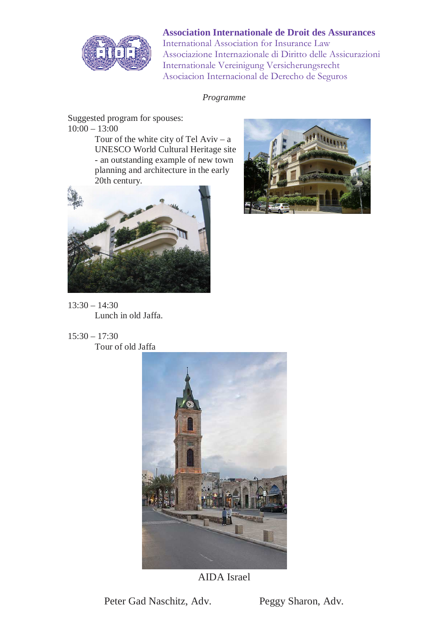

#### **Association Internationale de Droit des Assurances**

International Association for Insurance Law Associazione Internazionale di Diritto delle Assicurazioni Internationale Vereinigung Versicherungsrecht Asociacion Internacional de Derecho de Seguros

#### *Programme*

Suggested program for spouses:  $10:00 - 13:00$ 

Tour of the white city of Tel Aviv –  $a$ UNESCO World Cultural Heritage site - an outstanding example of new town planning and architecture in the early 20th century.



13:30 – 14:30 Lunch in old Jaffa.



 $15:30 - 17:30$ 

Tour of old Jaffa



AIDA Israel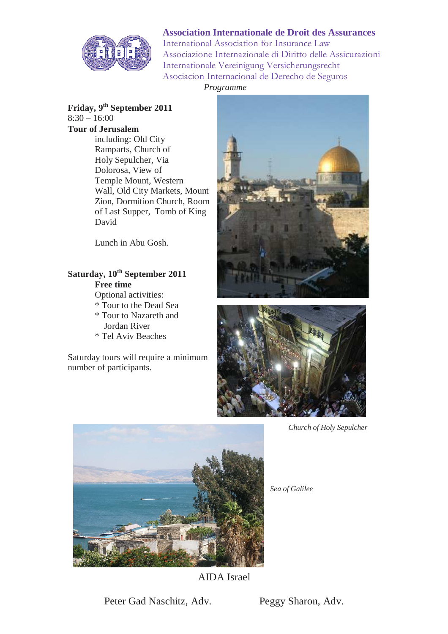

**Association Internationale de Droit des Assurances** 

International Association for Insurance Law Associazione Internazionale di Diritto delle Assicurazioni Internationale Vereinigung Versicherungsrecht Asociacion Internacional de Derecho de Seguros  *Programme* 

#### **Friday, 9th September 2011**   $8:30 - 16:00$ **Tour of Jerusalem**

 including: Old City Ramparts, Church of Holy Sepulcher, Via Dolorosa, View of Temple Mount, Western Wall, Old City Markets, Mount Zion, Dormition Church, Room of Last Supper, Tomb of King David

Lunch in Abu Gosh.

## **Saturday, 10th September 2011 Free time**

 Optional activities: \* Tour to the Dead Sea \* Tour to Nazareth and Jordan River \* Tel Aviv Beaches

Saturday tours will require a minimum number of participants.





*Church of Holy Sepulcher*



 *Sea of Galilee*

AIDA Israel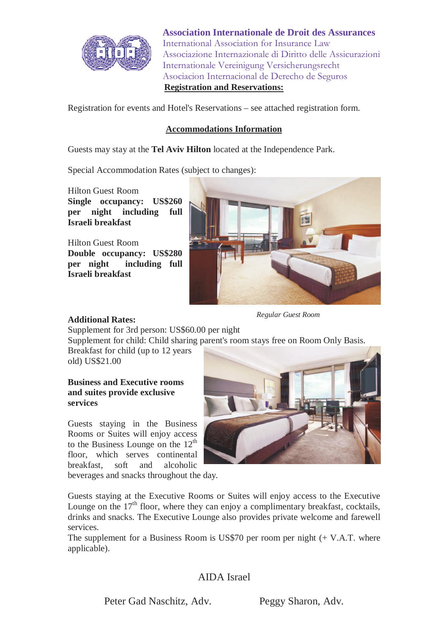

**Association Internationale de Droit des Assurances**  International Association for Insurance Law Associazione Internazionale di Diritto delle Assicurazioni Internationale Vereinigung Versicherungsrecht Asociacion Internacional de Derecho de Seguros **Registration and Reservations:**

Registration for events and Hotel's Reservations – see attached registration form.

#### **Accommodations Information**

Guests may stay at the **Tel Aviv Hilton** located at the Independence Park.

Special Accommodation Rates (subject to changes):

Hilton Guest Room **Single occupancy: US\$260 per night including full Israeli breakfast** 

Hilton Guest Room **Double occupancy: US\$280 per night including full Israeli breakfast** 



#### *Regular Guest Room*

#### **Additional Rates:**

Supplement for 3rd person: US\$60.00 per night

Supplement for child: Child sharing parent's room stays free on Room Only Basis.

Breakfast for child (up to 12 years old) US\$21.00

#### **Business and Executive rooms and suites provide exclusive services**

Guests staying in the Business Rooms or Suites will enjoy access to the Business Lounge on the  $12<sup>th</sup>$ floor, which serves continental breakfast, soft and alcoholic

beverages and snacks throughout the day.



Guests staying at the Executive Rooms or Suites will enjoy access to the Executive Lounge on the  $17<sup>th</sup>$  floor, where they can enjoy a complimentary breakfast, cocktails, drinks and snacks. The Executive Lounge also provides private welcome and farewell services.

The supplement for a Business Room is US\$70 per room per night (+ V.A.T. where applicable).

### AIDA Israel